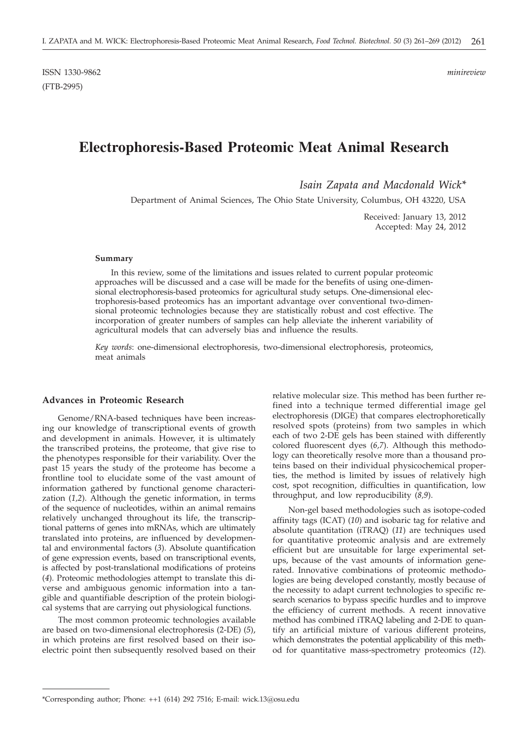# **Electrophoresis-Based Proteomic Meat Animal Research**

*Isain Zapata and Macdonald Wick\**

Department of Animal Sciences, The Ohio State University, Columbus, OH 43220, USA

Received: January 13, 2012 Accepted: May 24, 2012

#### **Summary**

In this review, some of the limitations and issues related to current popular proteomic approaches will be discussed and a case will be made for the benefits of using one-dimensional electrophoresis-based proteomics for agricultural study setups. One-dimensional electrophoresis-based proteomics has an important advantage over conventional two-dimensional proteomic technologies because they are statistically robust and cost effective. The incorporation of greater numbers of samples can help alleviate the inherent variability of agricultural models that can adversely bias and influence the results.

*Key words*: one-dimensional electrophoresis, two-dimensional electrophoresis, proteomics, meat animals

## **Advances in Proteomic Research**

Genome/RNA-based techniques have been increasing our knowledge of transcriptional events of growth and development in animals. However, it is ultimately the transcribed proteins, the proteome, that give rise to the phenotypes responsible for their variability. Over the past 15 years the study of the proteome has become a frontline tool to elucidate some of the vast amount of information gathered by functional genome characterization (*1,2*). Although the genetic information, in terms of the sequence of nucleotides, within an animal remains relatively unchanged throughout its life, the transcriptional patterns of genes into mRNAs, which are ultimately translated into proteins, are influenced by developmental and environmental factors (*3*). Absolute quantification of gene expression events, based on transcriptional events, is affected by post-translational modifications of proteins (*4*). Proteomic methodologies attempt to translate this diverse and ambiguous genomic information into a tangible and quantifiable description of the protein biological systems that are carrying out physiological functions.

The most common proteomic technologies available are based on two-dimensional electrophoresis (2-DE) (*5*), in which proteins are first resolved based on their isoelectric point then subsequently resolved based on their relative molecular size. This method has been further refined into a technique termed differential image gel electrophoresis (DIGE) that compares electrophoretically resolved spots (proteins) from two samples in which each of two 2-DE gels has been stained with differently colored fluorescent dyes (*6,7*). Although this methodology can theoretically resolve more than a thousand proteins based on their individual physicochemical properties, the method is limited by issues of relatively high cost, spot recognition, difficulties in quantification, low throughput, and low reproducibility (*8,9*).

Non-gel based methodologies such as isotope-coded affinity tags (ICAT) (*10*) and isobaric tag for relative and absolute quantitation (iTRAQ) (*11*) are techniques used for quantitative proteomic analysis and are extremely efficient but are unsuitable for large experimental setups, because of the vast amounts of information generated. Innovative combinations of proteomic methodologies are being developed constantly, mostly because of the necessity to adapt current technologies to specific research scenarios to bypass specific hurdles and to improve the efficiency of current methods. A recent innovative method has combined iTRAQ labeling and 2-DE to quantify an artificial mixture of various different proteins, which demonstrates the potential applicability of this method for quantitative mass-spectrometry proteomics (*12*).

<sup>\*</sup>Corresponding author; Phone: ++1 (614) 292 7516; E-mail: wick.13@osu.edu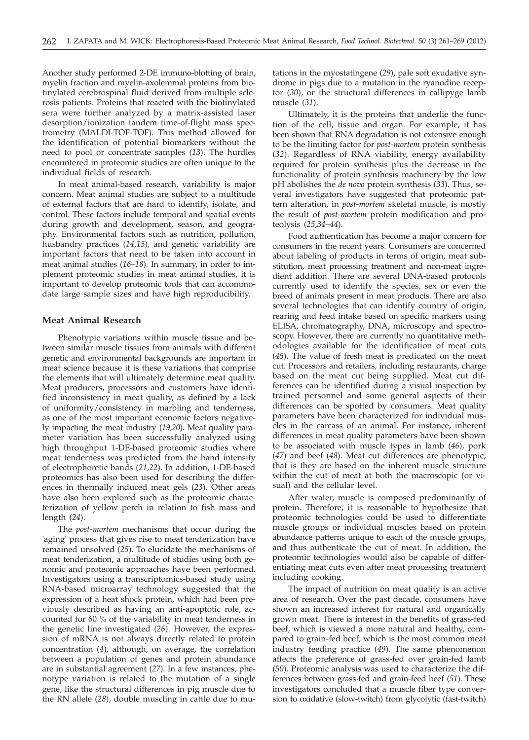Another study performed 2-DE immuno-blotting of brain, myelin fraction and myelin-axolemmal proteins from biotinylated cerebrospinal fluid derived from multiple sclerosis patients. Proteins that reacted with the biotinylated sera were further analyzed by a matrix-assisted laser desorption/ionization tandem time-of-flight mass spectrometry (MALDI-TOF-TOF). This method allowed for the identification of potential biomarkers without the need to pool or concentrate samples (*13*). The hurdles encountered in proteomic studies are often unique to the individual fields of research.

In meat animal-based research, variability is major concern. Meat animal studies are subject to a multitude of external factors that are hard to identify, isolate, and control. These factors include temporal and spatial events during growth and development, season, and geography. Environmental factors such as nutrition, pollution, husbandry practices (*14,15*), and genetic variability are important factors that need to be taken into account in meat animal studies (*16–18*). In summary, in order to implement proteomic studies in meat animal studies, it is important to develop proteomic tools that can accommodate large sample sizes and have high reproducibility.

# **Meat Animal Research**

Phenotypic variations within muscle tissue and between similar muscle tissues from animals with different genetic and environmental backgrounds are important in meat science because it is these variations that comprise the elements that will ultimately determine meat quality. Meat producers, processors and customers have identified inconsistency in meat quality, as defined by a lack of uniformity/consistency in marbling and tenderness, as one of the most important economic factors negatively impacting the meat industry (*19,20*). Meat quality parameter variation has been successfully analyzed using high throughput 1-DE-based proteomic studies where meat tenderness was predicted from the band intensity of electrophoretic bands (*21,22*). In addition, 1-DE-based proteomics has also been used for describing the differences in thermally induced meat gels (*23*). Other areas have also been explored such as the proteomic characterization of yellow perch in relation to fish mass and length (*24*).

The *post-mortem* mechanisms that occur during the 'aging' process that gives rise to meat tenderization have remained unsolved (*25*). To elucidate the mechanisms of meat tenderization, a multitude of studies using both genomic and proteomic approaches have been performed. Investigators using a transcriptomics-based study using RNA-based microarray technology suggested that the expression of a heat shock protein, which had been previously described as having an anti-apoptotic role, accounted for 60 % of the variability in meat tenderness in the genetic line investigated (*26*). However, the expression of mRNA is not always directly related to protein concentration (*4*), although, on average, the correlation between a population of genes and protein abundance are in substantial agreement (*27*). In a few instances, phenotype variation is related to the mutation of a single gene, like the structural differences in pig muscle due to the RN allele (*28*), double muscling in cattle due to mutations in the myostatingene (*29*), pale soft exudative syndrome in pigs due to a mutation in the ryanodine receptor (*30*), or the structural differences in callipyge lamb muscle (*31*).

Ultimately, it is the proteins that underlie the function of the cell, tissue and organ. For example, it has been shown that RNA degradation is not extensive enough to be the limiting factor for *post-mortem* protein synthesis (*32*). Regardless of RNA viability, energy availability required for protein synthesis plus the decrease in the functionality of protein synthesis machinery by the low pH abolishes the *de novo* protein synthesis (*33*). Thus, several investigators have suggested that proteomic pattern alteration, in *post-mortem* skeletal muscle, is mostly the result of *post-mortem* protein modification and proteolysis (*25*,*34–44*).

Food authentication has become a major concern for consumers in the recent years. Consumers are concerned about labeling of products in terms of origin, meat substitution, meat processing treatment and non-meat ingredient addition. There are several DNA-based protocols currently used to identify the species, sex or even the breed of animals present in meat products. There are also several technologies that can identify country of origin, rearing and feed intake based on specific markers using ELISA, chromatography, DNA, microscopy and spectroscopy. However, there are currently no quantitative methodologies available for the identification of meat cuts (*45*). The value of fresh meat is predicated on the meat cut. Processors and retailers, including restaurants, charge based on the meat cut being supplied. Meat cut differences can be identified during a visual inspection by trained personnel and some general aspects of their differences can be spotted by consumers. Meat quality parameters have been characterized for individual muscles in the carcass of an animal. For instance, inherent differences in meat quality parameters have been shown to be associated with muscle types in lamb (*46*), pork (*47*) and beef (*48*). Meat cut differences are phenotypic, that is they are based on the inherent muscle structure within the cut of meat at both the macroscopic (or visual) and the cellular level.

After water, muscle is composed predominantly of protein. Therefore, it is reasonable to hypothesize that proteomic technologies could be used to differentiate muscle groups or individual muscles based on protein abundance patterns unique to each of the muscle groups, and thus authenticate the cut of meat. In addition, the proteomic technologies would also be capable of differentiating meat cuts even after meat processing treatment including cooking.

The impact of nutrition on meat quality is an active area of research. Over the past decade, consumers have shown an increased interest for natural and organically grown meat. There is interest in the benefits of grass-fed beef, which is viewed a more natural and healthy, compared to grain-fed beef, which is the most common meat industry feeding practice (*49*). The same phenomenon affects the preference of grass-fed over grain-fed lamb (*50*). Proteomic analysis was used to characterize the differences between grass-fed and grain-feed beef (*51*). These investigators concluded that a muscle fiber type conversion to oxidative (slow-twitch) from glycolytic (fast-twitch)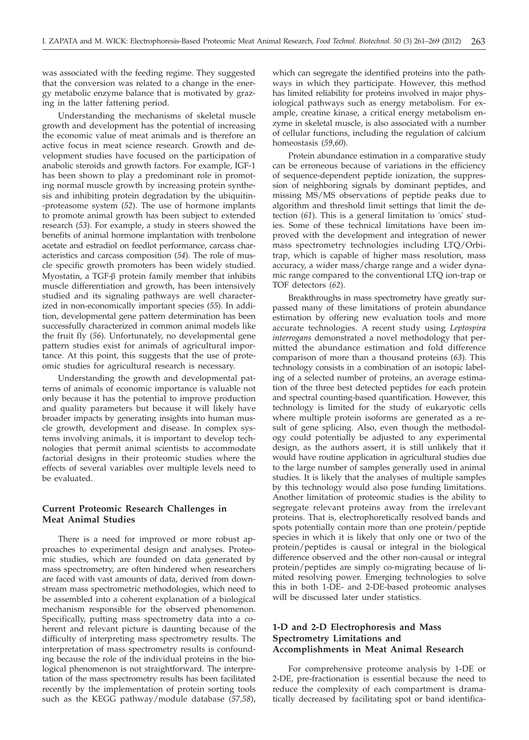was associated with the feeding regime. They suggested that the conversion was related to a change in the energy metabolic enzyme balance that is motivated by grazing in the latter fattening period.

Understanding the mechanisms of skeletal muscle growth and development has the potential of increasing the economic value of meat animals and is therefore an active focus in meat science research. Growth and development studies have focused on the participation of anabolic steroids and growth factors. For example, IGF-1 has been shown to play a predominant role in promoting normal muscle growth by increasing protein synthesis and inhibiting protein degradation by the ubiquitin- -proteasome system (*52*). The use of hormone implants to promote animal growth has been subject to extended research (*53*). For example, a study in steers showed the benefits of animal hormone implantation with trenbolone acetate and estradiol on feedlot performance, carcass characteristics and carcass composition (*54*). The role of muscle specific growth promoters has been widely studied. Myostatin, a TGF- $\beta$  protein family member that inhibits muscle differentiation and growth, has been intensively studied and its signaling pathways are well characterized in non-economically important species (*55*). In addition, developmental gene pattern determination has been successfully characterized in common animal models like the fruit fly (*56*). Unfortunately, no developmental gene pattern studies exist for animals of agricultural importance. At this point, this suggests that the use of proteomic studies for agricultural research is necessary.

Understanding the growth and developmental patterns of animals of economic importance is valuable not only because it has the potential to improve production and quality parameters but because it will likely have broader impacts by generating insights into human muscle growth, development and disease. In complex systems involving animals, it is important to develop technologies that permit animal scientists to accommodate factorial designs in their proteomic studies where the effects of several variables over multiple levels need to be evaluated.

# **Current Proteomic Research Challenges in Meat Animal Studies**

There is a need for improved or more robust approaches to experimental design and analyses. Proteomic studies, which are founded on data generated by mass spectrometry, are often hindered when researchers are faced with vast amounts of data, derived from downstream mass spectrometric methodologies, which need to be assembled into a coherent explanation of a biological mechanism responsible for the observed phenomenon. Specifically, putting mass spectrometry data into a coherent and relevant picture is daunting because of the difficulty of interpreting mass spectrometry results. The interpretation of mass spectrometry results is confounding because the role of the individual proteins in the biological phenomenon is not straightforward. The interpretation of the mass spectrometry results has been facilitated recently by the implementation of protein sorting tools such as the KEGG pathway/module database (*57,58*),

which can segregate the identified proteins into the pathways in which they participate. However, this method has limited reliability for proteins involved in major physiological pathways such as energy metabolism. For example, creatine kinase, a critical energy metabolism enzyme in skeletal muscle, is also associated with a number of cellular functions, including the regulation of calcium homeostasis (*59,60*).

Protein abundance estimation in a comparative study can be erroneous because of variations in the efficiency of sequence-dependent peptide ionization, the suppression of neighboring signals by dominant peptides, and missing MS/MS observations of peptide peaks due to algorithm and threshold limit settings that limit the detection (*61*). This is a general limitation to 'omics' studies. Some of these technical limitations have been improved with the development and integration of newer mass spectrometry technologies including LTQ/Orbitrap, which is capable of higher mass resolution, mass accuracy, a wider mass/charge range and a wider dynamic range compared to the conventional LTQ ion-trap or TOF detectors (*62*).

Breakthroughs in mass spectrometry have greatly surpassed many of these limitations of protein abundance estimation by offering new evaluation tools and more accurate technologies. A recent study using *Leptospira interrogans* demonstrated a novel methodology that permitted the abundance estimation and fold difference comparison of more than a thousand proteins (*63*). This technology consists in a combination of an isotopic labeling of a selected number of proteins, an average estimation of the three best detected peptides for each protein and spectral counting-based quantification. However, this technology is limited for the study of eukaryotic cells where multiple protein isoforms are generated as a result of gene splicing. Also, even though the methodology could potentially be adjusted to any experimental design, as the authors assert, it is still unlikely that it would have routine application in agricultural studies due to the large number of samples generally used in animal studies. It is likely that the analyses of multiple samples by this technology would also pose funding limitations. Another limitation of proteomic studies is the ability to segregate relevant proteins away from the irrelevant proteins. That is, electrophoretically resolved bands and spots potentially contain more than one protein/peptide species in which it is likely that only one or two of the protein/peptides is causal or integral in the biological difference observed and the other non-causal or integral protein/peptides are simply co-migrating because of limited resolving power. Emerging technologies to solve this in both 1-DE- and 2-DE-based proteomic analyses will be discussed later under statistics.

# **1-D and 2-D Electrophoresis and Mass Spectrometry Limitations and Accomplishments in Meat Animal Research**

For comprehensive proteome analysis by 1-DE or 2-DE, pre-fractionation is essential because the need to reduce the complexity of each compartment is dramatically decreased by facilitating spot or band identifica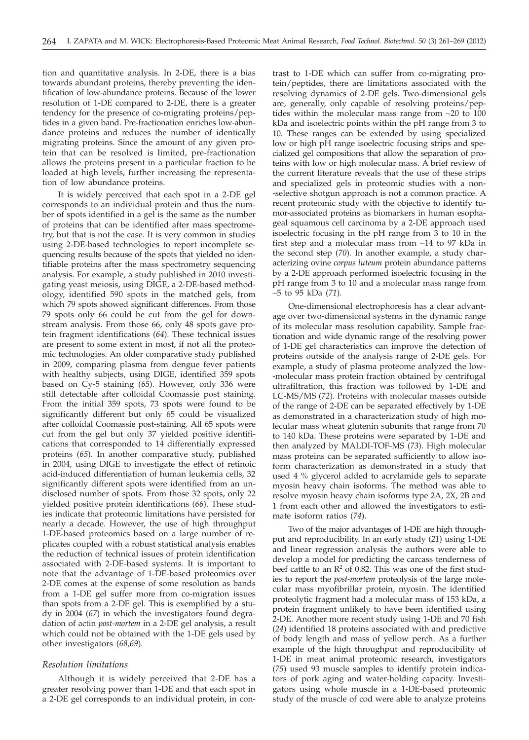tion and quantitative analysis. In 2-DE, there is a bias towards abundant proteins, thereby preventing the identification of low-abundance proteins. Because of the lower resolution of 1-DE compared to 2-DE, there is a greater tendency for the presence of co-migrating proteins/peptides in a given band. Pre-fractionation enriches low-abundance proteins and reduces the number of identically migrating proteins. Since the amount of any given protein that can be resolved is limited, pre-fractionation allows the proteins present in a particular fraction to be loaded at high levels, further increasing the representation of low abundance proteins.

It is widely perceived that each spot in a 2-DE gel corresponds to an individual protein and thus the number of spots identified in a gel is the same as the number of proteins that can be identified after mass spectrometry, but that is not the case. It is very common in studies using 2-DE-based technologies to report incomplete sequencing results because of the spots that yielded no identifiable proteins after the mass spectrometry sequencing analysis. For example, a study published in 2010 investigating yeast meiosis, using DIGE, a 2-DE-based methodology, identified 590 spots in the matched gels, from which 79 spots showed significant differences. From those 79 spots only 66 could be cut from the gel for downstream analysis. From those 66, only 48 spots gave protein fragment identifications (*64*). These technical issues are present to some extent in most, if not all the proteomic technologies. An older comparative study published in 2009, comparing plasma from dengue fever patients with healthy subjects, using DIGE, identified 359 spots based on Cy-5 staining (*65*). However, only 336 were still detectable after colloidal Coomassie post staining. From the initial 359 spots, 73 spots were found to be significantly different but only 65 could be visualized after colloidal Coomassie post-staining. All 65 spots were cut from the gel but only 37 yielded positive identifications that corresponded to 14 differentially expressed proteins (*65*). In another comparative study, published in 2004, using DIGE to investigate the effect of retinoic acid-induced differentiation of human leukemia cells, 32 significantly different spots were identified from an undisclosed number of spots. From those 32 spots, only 22 yielded positive protein identifications (*66*). These studies indicate that proteomic limitations have persisted for nearly a decade. However, the use of high throughput 1-DE-based proteomics based on a large number of replicates coupled with a robust statistical analysis enables the reduction of technical issues of protein identification associated with 2-DE-based systems. It is important to note that the advantage of 1-DE-based proteomics over 2-DE comes at the expense of some resolution as bands from a 1-DE gel suffer more from co-migration issues than spots from a 2-DE gel. This is exemplified by a study in 2004 (*67*) in which the investigators found degradation of actin *post-mortem* in a 2-DE gel analysis, a result which could not be obtained with the 1-DE gels used by other investigators (*68,69*).

#### *Resolution limitations*

Although it is widely perceived that 2-DE has a greater resolving power than 1-DE and that each spot in a 2-DE gel corresponds to an individual protein, in con-

trast to 1-DE which can suffer from co-migrating protein/peptides, there are limitations associated with the resolving dynamics of 2-DE gels. Two-dimensional gels are, generally, only capable of resolving proteins/peptides within the molecular mass range from ~20 to 100 kDa and isoelectric points within the pH range from 3 to 10. These ranges can be extended by using specialized low or high pH range isoelectric focusing strips and specialized gel compositions that allow the separation of proteins with low or high molecular mass. A brief review of the current literature reveals that the use of these strips and specialized gels in proteomic studies with a non- -selective shotgun approach is not a common practice. A recent proteomic study with the objective to identify tumor-associated proteins as biomarkers in human esophageal squamous cell carcinoma by a 2-DE approach used isoelectric focusing in the pH range from 3 to 10 in the first step and a molecular mass from ~14 to 97 kDa in the second step (*70*). In another example, a study characterizing ovine *corpus luteum* protein abundance patterns by a 2-DE approach performed isoelectric focusing in the pH range from 3 to 10 and a molecular mass range from ~5 to 95 kDa (*71*).

One-dimensional electrophoresis has a clear advantage over two-dimensional systems in the dynamic range of its molecular mass resolution capability. Sample fractionation and wide dynamic range of the resolving power of 1-DE gel characteristics can improve the detection of proteins outside of the analysis range of 2-DE gels. For example, a study of plasma proteome analyzed the low- -molecular mass protein fraction obtained by centrifugal ultrafiltration, this fraction was followed by 1-DE and LC-MS/MS (*72*). Proteins with molecular masses outside of the range of 2-DE can be separated effectively by 1-DE as demonstrated in a characterization study of high molecular mass wheat glutenin subunits that range from 70 to 140 kDa. These proteins were separated by 1-DE and then analyzed by MALDI-TOF-MS (*73*). High molecular mass proteins can be separated sufficiently to allow isoform characterization as demonstrated in a study that used 4 % glycerol added to acrylamide gels to separate myosin heavy chain isoforms. The method was able to resolve myosin heavy chain isoforms type 2A, 2X, 2B and 1 from each other and allowed the investigators to estimate isoform ratios (*74*).

Two of the major advantages of 1-DE are high throughput and reproducibility. In an early study (*21*) using 1-DE and linear regression analysis the authors were able to develop a model for predicting the carcass tenderness of beef cattle to an  $\mathbb{R}^2$  of 0.82. This was one of the first studies to report the *post-mortem* proteolysis of the large molecular mass myofibrillar protein, myosin. The identified proteolytic fragment had a molecular mass of 153 kDa, a protein fragment unlikely to have been identified using 2-DE. Another more recent study using 1-DE and 70 fish (*24*) identified 18 proteins associated with and predictive of body length and mass of yellow perch. As a further example of the high throughput and reproducibility of 1-DE in meat animal proteomic research, investigators (*75*) used 93 muscle samples to identify protein indicators of pork aging and water-holding capacity. Investigators using whole muscle in a 1-DE-based proteomic study of the muscle of cod were able to analyze proteins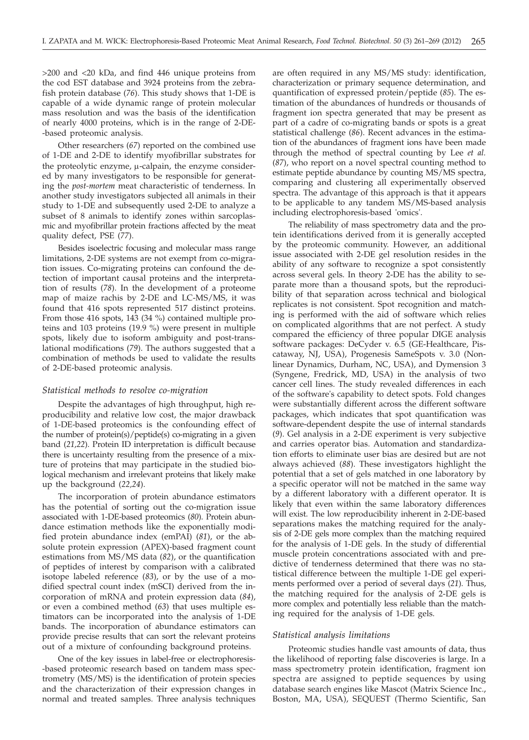>200 and <20 kDa, and find 446 unique proteins from the cod EST database and 3924 proteins from the zebrafish protein database (*76*). This study shows that 1-DE is capable of a wide dynamic range of protein molecular mass resolution and was the basis of the identification of nearly 4000 proteins, which is in the range of 2-DE- -based proteomic analysis.

Other researchers (*67*) reported on the combined use of 1-DE and 2-DE to identify myofibrillar substrates for the proteolytic enzyme,  $\mu$ -calpain, the enzyme considered by many investigators to be responsible for generating the *post-mortem* meat characteristic of tenderness. In another study investigators subjected all animals in their study to 1-DE and subsequently used 2-DE to analyze a subset of 8 animals to identify zones within sarcoplasmic and myofibrillar protein fractions affected by the meat quality defect, PSE (*77*).

Besides isoelectric focusing and molecular mass range limitations, 2-DE systems are not exempt from co-migration issues. Co-migrating proteins can confound the detection of important causal proteins and the interpretation of results (*78*). In the development of a proteome map of maize rachis by 2-DE and LC-MS/MS, it was found that 416 spots represented 517 distinct proteins. From those 416 spots, 143 (34 %) contained multiple proteins and 103 proteins (19.9 %) were present in multiple spots, likely due to isoform ambiguity and post-translational modifications (*79*). The authors suggested that a combination of methods be used to validate the results of 2-DE-based proteomic analysis.

#### *Statistical methods to resolve co-migration*

Despite the advantages of high throughput, high reproducibility and relative low cost, the major drawback of 1-DE-based proteomics is the confounding effect of the number of protein(s)/peptide(s) co-migrating in a given band (*21,22*). Protein ID interpretation is difficult because there is uncertainty resulting from the presence of a mixture of proteins that may participate in the studied biological mechanism and irrelevant proteins that likely make up the background (*22,24*).

The incorporation of protein abundance estimators has the potential of sorting out the co-migration issue associated with 1-DE-based proteomics (*80*). Protein abundance estimation methods like the exponentially modified protein abundance index (emPAI) (*81*), or the absolute protein expression (APEX)-based fragment count estimations from MS/MS data (*82*), or the quantification of peptides of interest by comparison with a calibrated isotope labeled reference (*83*), or by the use of a modified spectral count index (mSCI) derived from the incorporation of mRNA and protein expression data (*84*), or even a combined method (*63*) that uses multiple estimators can be incorporated into the analysis of 1-DE bands. The incorporation of abundance estimators can provide precise results that can sort the relevant proteins out of a mixture of confounding background proteins.

One of the key issues in label-free or electrophoresis- -based proteomic research based on tandem mass spectrometry (MS/MS) is the identification of protein species and the characterization of their expression changes in normal and treated samples. Three analysis techniques

are often required in any MS/MS study: identification, characterization or primary sequence determination, and quantification of expressed protein/peptide (*85*). The estimation of the abundances of hundreds or thousands of fragment ion spectra generated that may be present as part of a cadre of co-migrating bands or spots is a great statistical challenge (*86*). Recent advances in the estimation of the abundances of fragment ions have been made through the method of spectral counting by Lee *et al.* (*87*), who report on a novel spectral counting method to estimate peptide abundance by counting MS/MS spectra, comparing and clustering all experimentally observed spectra. The advantage of this approach is that it appears to be applicable to any tandem MS/MS-based analysis including electrophoresis-based 'omics'.

The reliability of mass spectrometry data and the protein identifications derived from it is generally accepted by the proteomic community. However, an additional issue associated with 2-DE gel resolution resides in the ability of any software to recognize a spot consistently across several gels. In theory 2-DE has the ability to separate more than a thousand spots, but the reproducibility of that separation across technical and biological replicates is not consistent. Spot recognition and matching is performed with the aid of software which relies on complicated algorithms that are not perfect. A study compared the efficiency of three popular DIGE analysis software packages: DeCyder v. 6.5 (GE-Healthcare, Piscataway, NJ, USA), Progenesis SameSpots v. 3.0 (Nonlinear Dynamics, Durham, NC, USA), and Dymension 3 (Syngene, Fredrick, MD, USA) in the analysis of two cancer cell lines. The study revealed differences in each of the software's capability to detect spots. Fold changes were substantially different across the different software packages, which indicates that spot quantification was software-dependent despite the use of internal standards (*9*). Gel analysis in a 2-DE experiment is very subjective and carries operator bias. Automation and standardization efforts to eliminate user bias are desired but are not always achieved (*88*). These investigators highlight the potential that a set of gels matched in one laboratory by a specific operator will not be matched in the same way by a different laboratory with a different operator. It is likely that even within the same laboratory differences will exist. The low reproducibility inherent in 2-DE-based separations makes the matching required for the analysis of 2-DE gels more complex than the matching required for the analysis of 1-DE gels. In the study of differential muscle protein concentrations associated with and predictive of tenderness determined that there was no statistical difference between the multiple 1-DE gel experiments performed over a period of several days (*21*). Thus, the matching required for the analysis of 2-DE gels is more complex and potentially less reliable than the matching required for the analysis of 1-DE gels.

## *Statistical analysis limitations*

Proteomic studies handle vast amounts of data, thus the likelihood of reporting false discoveries is large. In a mass spectrometry protein identification, fragment ion spectra are assigned to peptide sequences by using database search engines like Mascot (Matrix Science Inc., Boston, MA, USA), SEQUEST (Thermo Scientific, San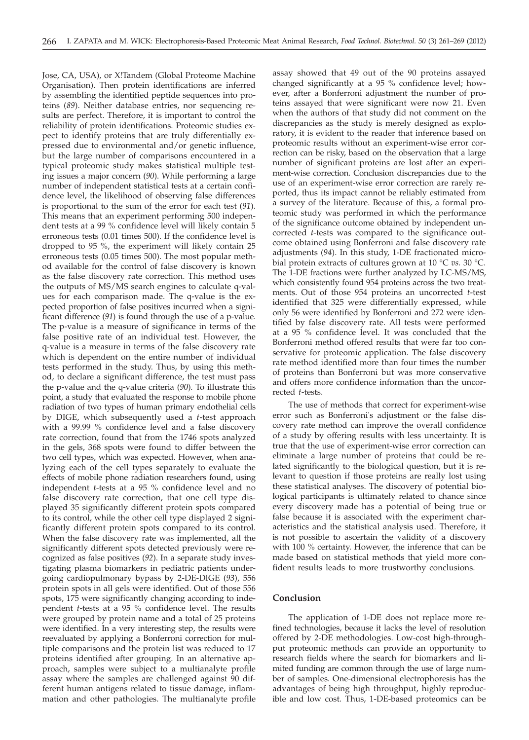Jose, CA, USA), or X!Tandem (Global Proteome Machine Organisation). Then protein identifications are inferred by assembling the identified peptide sequences into proteins (*89*). Neither database entries, nor sequencing results are perfect. Therefore, it is important to control the reliability of protein identifications. Proteomic studies expect to identify proteins that are truly differentially expressed due to environmental and/or genetic influence, but the large number of comparisons encountered in a typical proteomic study makes statistical multiple testing issues a major concern (*90*). While performing a large number of independent statistical tests at a certain confidence level, the likelihood of observing false differences is proportional to the sum of the error for each test (*91*). This means that an experiment performing 500 independent tests at a 99 % confidence level will likely contain 5 erroneous tests (0.01 times 500). If the confidence level is dropped to 95 %, the experiment will likely contain 25 erroneous tests (0.05 times 500). The most popular method available for the control of false discovery is known as the false discovery rate correction. This method uses the outputs of MS/MS search engines to calculate q-values for each comparison made. The q-value is the expected proportion of false positives incurred when a significant difference (*91*) is found through the use of a p-value. The p-value is a measure of significance in terms of the false positive rate of an individual test. However, the q-value is a measure in terms of the false discovery rate which is dependent on the entire number of individual tests performed in the study. Thus, by using this method, to declare a significant difference, the test must pass the p-value and the q-value criteria (*90*). To illustrate this point, a study that evaluated the response to mobile phone radiation of two types of human primary endothelial cells by DIGE, which subsequently used a *t*-test approach with a 99.99 % confidence level and a false discovery rate correction, found that from the 1746 spots analyzed in the gels, 368 spots were found to differ between the two cell types, which was expected. However, when analyzing each of the cell types separately to evaluate the effects of mobile phone radiation researchers found, using independent *t*-tests at a 95 % confidence level and no false discovery rate correction, that one cell type displayed 35 significantly different protein spots compared to its control, while the other cell type displayed 2 significantly different protein spots compared to its control. When the false discovery rate was implemented, all the significantly different spots detected previously were recognized as false positives (*92*). In a separate study investigating plasma biomarkers in pediatric patients undergoing cardiopulmonary bypass by 2-DE-DIGE (*93*), 556 protein spots in all gels were identified. Out of those 556 spots, 175 were significantly changing according to independent *t*-tests at a 95 % confidence level. The results were grouped by protein name and a total of 25 proteins were identified. In a very interesting step, the results were reevaluated by applying a Bonferroni correction for multiple comparisons and the protein list was reduced to 17 proteins identified after grouping. In an alternative approach, samples were subject to a multianalyte profile assay where the samples are challenged against 90 different human antigens related to tissue damage, inflammation and other pathologies. The multianalyte profile

assay showed that 49 out of the 90 proteins assayed changed significantly at a 95 % confidence level; however, after a Bonferroni adjustment the number of proteins assayed that were significant were now 21. Even when the authors of that study did not comment on the discrepancies as the study is merely designed as exploratory, it is evident to the reader that inference based on proteomic results without an experiment-wise error correction can be risky, based on the observation that a large number of significant proteins are lost after an experiment-wise correction. Conclusion discrepancies due to the use of an experiment-wise error correction are rarely reported, thus its impact cannot be reliably estimated from a survey of the literature. Because of this, a formal proteomic study was performed in which the performance of the significance outcome obtained by independent uncorrected *t*-tests was compared to the significance outcome obtained using Bonferroni and false discovery rate adjustments (*94*). In this study, 1-DE fractionated microbial protein extracts of cultures grown at 10 °C *vs.* 30 °C. The 1-DE fractions were further analyzed by LC-MS/MS, which consistently found 954 proteins across the two treatments. Out of those 954 proteins an uncorrected *t*-test identified that 325 were differentially expressed, while only 56 were identified by Bonferroni and 272 were identified by false discovery rate. All tests were performed at a 95 % confidence level. It was concluded that the Bonferroni method offered results that were far too conservative for proteomic application. The false discovery rate method identified more than four times the number of proteins than Bonferroni but was more conservative and offers more confidence information than the uncorrected *t*-tests.

The use of methods that correct for experiment-wise error such as Bonferroni's adjustment or the false discovery rate method can improve the overall confidence of a study by offering results with less uncertainty. It is true that the use of experiment-wise error correction can eliminate a large number of proteins that could be related significantly to the biological question, but it is relevant to question if those proteins are really lost using these statistical analyses. The discovery of potential biological participants is ultimately related to chance since every discovery made has a potential of being true or false because it is associated with the experiment characteristics and the statistical analysis used. Therefore, it is not possible to ascertain the validity of a discovery with 100 % certainty. However, the inference that can be made based on statistical methods that yield more confident results leads to more trustworthy conclusions.

# **Conclusion**

The application of 1-DE does not replace more refined technologies, because it lacks the level of resolution offered by 2-DE methodologies. Low-cost high-throughput proteomic methods can provide an opportunity to research fields where the search for biomarkers and limited funding are common through the use of large number of samples. One-dimensional electrophoresis has the advantages of being high throughput, highly reproducible and low cost. Thus, 1-DE-based proteomics can be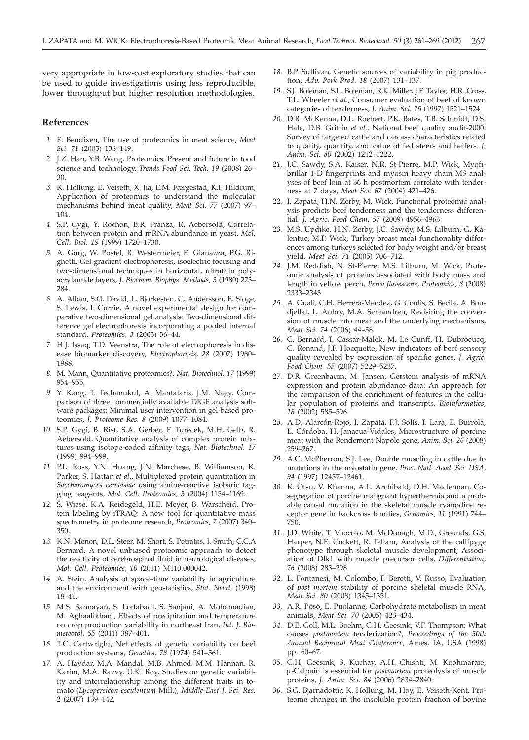very appropriate in low-cost exploratory studies that can be used to guide investigations using less reproducible, lower throughput but higher resolution methodologies.

### **References**

- *1.* E. Bendixen, The use of proteomics in meat science, *Meat Sci. 71* (2005) 138–149.
- *2.* J.Z. Han, Y.B. Wang, Proteomics: Present and future in food science and technology, *Trends Food Sci. Tech. 19* (2008) 26– 30.
- *3.* K. Hollung, E. Veiseth, X. Jia, E.M. Færgestad, K.I. Hildrum, Application of proteomics to understand the molecular mechanisms behind meat quality, *Meat Sci. 77* (2007) 97– 104.
- *4.* S.P. Gygi, Y. Rochon, B.R. Franza, R. Aebersold, Correlation between protein and mRNA abundance in yeast, *Mol. Cell. Biol. 19* (1999) 1720–1730.
- *5.* A. Gorg, W. Postel, R. Westermeier, E. Gianazza, P.G. Righetti, Gel gradient electrophoresis, isoelectric focusing and two-dimensional techniques in horizontal, ultrathin polyacrylamide layers, *J. Biochem. Biophys. Methods, 3* (1980) 273– 284
- *6.* A. Alban, S.O. David, L. Bjorkesten, C. Andersson, E. Sloge, S. Lewis, I. Currie, A novel experimental design for comparative two-dimensional gel analysis: Two-dimensional difference gel electrophoresis incorporating a pooled internal standard, *Proteomics, 3* (2003) 36–44.
- *7.* H.J. Issaq, T.D. Veenstra, The role of electrophoresis in disease biomarker discovery, *Electrophoresis, 28* (2007) 1980– 1988.
- *8.* M. Mann, Quantitative proteomics?, *Nat. Biotechnol. 17* (1999) 954–955.
- *9.* Y. Kang, T. Techanukul, A. Mantalaris, J.M. Nagy, Comparison of three commercially available DIGE analysis software packages: Minimal user intervention in gel-based proteomics, *J. Proteome Res. 8* (2009) 1077–1084.
- *10.* S.P. Gygi, B. Rist, S.A. Gerber, F. Turecek, M.H. Gelb, R. Aebersold, Quantitative analysis of complex protein mixtures using isotope-coded affinity tags, *Nat. Biotechnol. 17* (1999) 994–999.
- *11.* P.L. Ross, Y.N. Huang, J.N. Marchese, B. Williamson, K. Parker, S. Hattan *et al.*, Multiplexed protein quantitation in *Saccharomyces cerevisiae* using amine-reactive isobaric tagging reagents, *Mol. Cell. Proteomics, 3* (2004) 1154–1169.
- *12.* S. Wiese, K.A. Reidegeld, H.E. Meyer, B. Warscheid, Protein labeling by iTRAQ: A new tool for quantitative mass spectrometry in proteome research, *Proteomics, 7* (2007) 340– 350.
- *13.* K.N. Menon, D.L. Steer, M. Short, S. Petratos, I. Smith, C.C.A Bernard, A novel unbiased proteomic approach to detect the reactivity of cerebrospinal fluid in neurological diseases, *Mol. Cell. Proteomics, 10* (2011) M110.000042.
- *14.* A. Stein, Analysis of space–time variability in agriculture and the environment with geostatistics, *Stat. Neerl.* (1998) 18–41.
- *15.* M.S. Bannayan, S. Lotfabadi, S. Sanjani, A. Mohamadian, M. Aghaalikhani, Effects of precipitation and temperature on crop production variability in northeast Iran, *Int. J. Biometeorol. 55* (2011) 387–401.
- *16.* T.C. Cartwright, Net effects of genetic variability on beef production systems, *Genetics, 78* (1974) 541–561.
- *17.* A. Haydar, M.A. Mandal, M.B. Ahmed, M.M. Hannan, R. Karim, M.A. Razvy, U.K. Roy, Studies on genetic variability and interrelationship among the different traits in tomato (*Lycopersicon esculentum* Mill.), *Middle-East J. Sci. Res. 2* (2007) 139–142.
- *18.* B.P. Sullivan, Genetic sources of variability in pig production, *Adv. Pork Prod. 18* (2007) 131–137.
- *19.* S.J. Boleman, S.L. Boleman, R.K. Miller, J.F. Taylor, H.R. Cross, T.L. Wheeler *et al.*, Consumer evaluation of beef of known categories of tenderness, *J. Anim. Sci. 75* (1997) 1521–1524.
- *20.* D.R. McKenna, D.L. Roebert, P.K. Bates, T.B. Schmidt, D.S. Hale, D.B. Griffin *et al.*, National beef quality audit-2000: Survey of targeted cattle and carcass characteristics related to quality, quantity, and value of fed steers and heifers, *J. Anim. Sci. 80* (2002) 1212–1222.
- *21.* J.C. Sawdy, S.A. Kaiser, N.R. St-Pierre, M.P. Wick, Myofibrillar 1-D fingerprints and myosin heavy chain MS analyses of beef loin at 36 h postmortem correlate with tenderness at 7 days, *Meat Sci. 67* (2004) 421–426.
- *22.* I. Zapata, H.N. Zerby, M. Wick, Functional proteomic analysis predicts beef tenderness and the tenderness differential, *J. Agric. Food Chem. 57* (2009) 4956–4963.
- *23.* M.S. Updike, H.N. Zerby, J.C. Sawdy, M.S. Lilburn, G. Kalentuc, M.P. Wick, Turkey breast meat functionality differences among turkeys selected for body weight and/or breast yield, *Meat Sci. 71* (2005) 706–712.
- *24.* J.M. Reddish, N. St-Pierre, M.S. Lilburn, M. Wick, Proteomic analysis of proteins associated with body mass and length in yellow perch, *Perca flavescens*, *Proteomics, 8* (2008) 2333–2343.
- *25.* A. Ouali, C.H. Herrera-Mendez, G. Coulis, S. Becila, A. Boudjellal, L. Aubry, M.A. Sentandreu, Revisiting the conversion of muscle into meat and the underlying mechanisms, *Meat Sci. 74* (2006) 44–58.
- *26.* C. Bernard, I. Cassar-Malek, M. Le Cunff, H. Dubroeucq, G. Renand, J.F. Hocquette, New indicators of beef sensory quality revealed by expression of specific genes, *J. Agric. Food Chem. 55* (2007) 5229–5237.
- *27.* D.R. Greenbaum, M. Jansen, Gerstein analysis of mRNA expression and protein abundance data: An approach for the comparison of the enrichment of features in the cellular population of proteins and transcripts, *Bioinformatics, 18* (2002) 585–596.
- *28.* A.D. Alarcón-Rojo, I. Zapata, F.J. Solís, I. Lara, E. Burrola, L. Córdoba, H. Janacua-Vidales, Microstructure of porcine meat with the Rendement Napole gene, *Anim. Sci. 26* (2008) 259–267.
- *29.* A.C. McPherron, S.J. Lee, Double muscling in cattle due to mutations in the myostatin gene, *Proc. Natl. Acad. Sci. USA, 94* (1997) 12457–12461.
- *30.* K. Otsu, V. Khanna, A.L. Archibald, D.H. Maclennan, Cosegregation of porcine malignant hyperthermia and a probable causal mutation in the skeletal muscle ryanodine receptor gene in backcross families, *Genomics, 11* (1991) 744– 750.
- *31.* J.D. White, T. Vuocolo, M. McDonagh, M.D., Grounds, G.S. Harper, N.E. Cockett, R. Tellam, Analysis of the callipyge phenotype through skeletal muscle development; Association of Dlk1 with muscle precursor cells, *Differentiation, 76* (2008) 283–298.
- *32.* L. Fontanesi, M. Colombo, F. Beretti, V. Russo, Evaluation of *post mortem* stability of porcine skeletal muscle RNA, *Meat Sci. 80* (2008) 1345–1351.
- *33.* A.R. Pösö, E. Puolanne, Carbohydrate metabolism in meat animals, *Meat Sci. 70* (2005) 423–434.
- *34.* D.E. Goll, M.L. Boehm, G.H. Geesink, V.F. Thompson: What causes *postmortem* tenderization?, *Proceedings of the 50th Annual Reciprocal Meat Conference,* Ames, IA, USA (1998) pp. 60–67.
- *35.* G.H. Geesink, S. Kuchay, A.H. Chishti, M. Koohmaraie, m-Calpain is essential for *postmortem* proteolysis of muscle proteins, *J. Anim. Sci. 84* (2006) 2834–2840.
- *36.* S.G. Bjarnadottir, K. Hollung, M. Hoy, E. Veiseth-Kent, Proteome changes in the insoluble protein fraction of bovine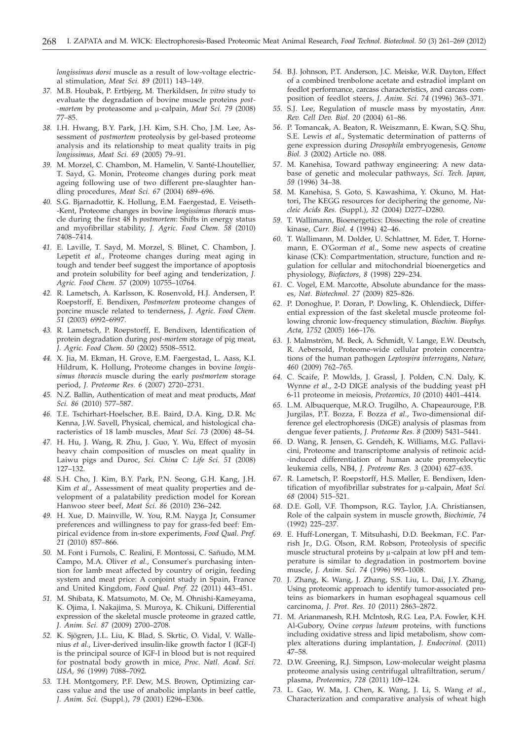*longissimus dorsi* muscle as a result of low-voltage electrical stimulation, *Meat Sci. 89* (2011) 143–149.

- *37.* M.B. Houbak, P. Ertbjerg, M. Therkildsen, *In vitro* study to evaluate the degradation of bovine muscle proteins *post- -mortem* by proteasome and  $\mu$ -calpain, *Meat Sci.* 79 (2008) 77–85.
- *38.* I.H. Hwang, B.Y. Park, J.H. Kim, S.H. Cho, J.M. Lee, Assessment of *postmortem* proteolysis by gel-based proteome analysis and its relationship to meat quality traits in pig *longissimus*, *Meat Sci. 69* (2005) 79–91.
- *39.* M. Morzel, C. Chambon, M. Hamelin, V. Santé-Lhoutellier, T. Sayd, G. Monin, Proteome changes during pork meat ageing following use of two different pre-slaughter handling procedures, *Meat Sci. 67* (2004) 689–696.
- *40.* S.G. Bjarnadottir, K. Hollung, E.M. Faergestad, E. Veiseth- -Kent, Proteome changes in bovine *longissimus thoracis* muscle during the first 48 h *postmortem*: Shifts in energy status and myofibrillar stability, *J. Agric. Food Chem. 58* (2010) 7408–7414.
- *41.* E. Laville, T. Sayd, M. Morzel, S. Blinet, C. Chambon, J. Lepetit *et al.*, Proteome changes during meat aging in tough and tender beef suggest the importance of apoptosis and protein solubility for beef aging and tenderization, *J. Agric. Food Chem*. *57* (2009) 10755–10764.
- *42.* R. Lametsch, A. Karlsson, K. Rosenvold, H.J. Andersen, P. Roepstorff, E. Bendixen, *Postmortem* proteome changes of porcine muscle related to tenderness, *J. Agric. Food Chem*. *51* (2003) 6992–6997.
- *43.* R. Lametsch, P. Roepstorff, E. Bendixen, Identification of protein degradation during *post-mortem* storage of pig meat, *J. Agric. Food Chem*. *50* (2002) 5508–5512.
- *44.* X. Jia, M. Ekman, H. Grove, E.M. Faergestad, L. Aass, K.I. Hildrum, K. Hollung, Proteome changes in bovine *longissimus thoracis* muscle during the early *postmortem* storage period, *J. Proteome Res. 6* (2007) 2720–2731.
- *45.* N.Z. Ballin, Authentication of meat and meat products, *Meat Sci. 86* (2010) 577–587.
- *46.* T.E. Tschirhart-Hoelscher, B.E. Baird, D.A. King, D.R. Mc Kenna, J.W. Savell, Physical, chemical, and histological characteristics of 18 lamb muscles, *Meat Sci. 73* (2006) 48–54.
- *47.* H. Hu, J. Wang, R. Zhu, J. Guo, Y. Wu, Effect of myosin heavy chain composition of muscles on meat quality in Laiwu pigs and Duroc, *Sci. China C: Life Sci. 51* (2008) 127–132.
- *48.* S.H. Cho, J. Kim, B.Y. Park, P.N. Seong, G.H. Kang, J.H. Kim *et al.*, Assessment of meat quality properties and development of a palatability prediction model for Korean Hanwoo steer beef, *Meat Sci. 86* (2010) 236–242.
- *49.* H. Xue, D. Mainville, W. You, R.M. Nayga Jr, Consumer preferences and willingness to pay for grass-fed beef: Empirical evidence from in-store experiments, *Food Qual. Pref. 21* (2010) 857–866.
- *50.* M. Font i Furnols, C. Realini, F. Montossi, C. Sañudo, M.M. Campo, M.A. Oliver *et al.*, Consumer's purchasing intention for lamb meat affected by country of origin, feeding system and meat price: A conjoint study in Spain, France and United Kingdom, *Food Qual. Pref. 22* (2011) 443–451.
- *51.* M. Shibata, K. Matsumoto, M. Oe, M. Ohnishi-Kameyama, K. Ojima, I. Nakajima, S. Muroya, K. Chikuni, Differential expression of the skeletal muscle proteome in grazed cattle, *J. Anim. Sci. 87* (2009) 2700–2708.
- *52.* K. Sjögren, J.L. Liu, K. Blad, S. Skrtic, O. Vidal, V. Wallenius *et al*., Liver-derived insulin-like growth factor I (IGF-I) is the principal source of IGF-I in blood but is not required for postnatal body growth in mice, *Proc. Natl. Acad. Sci. USA, 96* (1999) 7088–7092.
- *53.* T.H. Montgomery, P.F. Dew, M.S. Brown, Optimizing carcass value and the use of anabolic implants in beef cattle, *J. Anim. Sci.* (Suppl.), *79* (2001) E296–E306.
- *54.* B.J. Johnson, P.T. Anderson, J.C. Meiske, W.R. Dayton, Effect of a combined trenbolone acetate and estradiol implant on feedlot performance, carcass characteristics, and carcass composition of feedlot steers, *J. Anim. Sci. 74* (1996) 363–371.
- *55.* S.J. Lee, Regulation of muscle mass by myostatin, *Ann. Rev. Cell Dev. Biol. 20* (2004) 61–86.
- *56.* P. Tomancak, A. Beaton, R. Weiszmann, E. Kwan, S.Q. Shu, S.E. Lewis *et al*., Systematic determination of patterns of gene expression during *Drosophila* embryogenesis, *Genome Biol. 3* (2002) Article no. 088.
- *57.* M. Kanehisa, Toward pathway engineering: A new database of genetic and molecular pathways, *Sci. Tech. Japan, 59* (1996) 34–38.
- *58.* M. Kanehisa, S. Goto, S. Kawashima, Y. Okuno, M. Hattori, The KEGG resources for deciphering the genome, *Nucleic Acids Res.* (Suppl.), *32* (2004) D277–D280.
- *59.* T. Wallimann, Bioenergetics: Dissecting the role of creatine kinase, *Curr. Biol. 4* (1994) 42–46.
- *60.* T. Wallimann, M. Dolder, U. Schlattner, M. Eder, T. Hornemann, E. O'Gorman *et al*., Some new aspects of creatine kinase (CK): Compartmentation, structure, function and regulation for cellular and mitochondrial bioenergetics and physiology, *Biofactors, 8* (1998) 229–234.
- *61.* C. Vogel, E.M. Marcotte, Absolute abundance for the masses, *Nat. Biotechnol. 27* (2009) 825–826.
- *62.* P. Donoghue, P. Doran, P. Dowling, K. Ohlendieck, Differential expression of the fast skeletal muscle proteome following chronic low-frequency stimulation, *Biochim. Biophys. Acta, 1752* (2005) 166–176.
- *63.* J. Malmström, M. Beck, A. Schmidt, V. Lange, E.W. Deutsch, R. Aebersold, Proteome-wide cellular protein concentrations of the human pathogen *Leptospira interrogans*, *Nature, 460* (2009) 762–765.
- *64.* C. Scaife, P. Mowlds, J. Grassl, J. Polden, C.N. Daly, K. Wynne *et al*., 2-D DIGE analysis of the budding yeast pH 6-11 proteome in meiosis, *Proteomics, 10* (2010) 4401–4414.
- *65.* L.M. Albuquerque, M.R.O. Trugilho, A. Chapeaurouge, P.B. Jurgilas, P.T. Bozza, F. Bozza *et al*., Two-dimensional difference gel electrophoresis (DiGE) analysis of plasmas from dengue fever patients, *J. Proteome Res. 8* (2009) 5431–5441.
- *66.* D. Wang, R. Jensen, G. Gendeh, K. Williams, M.G. Pallavicini, Proteome and transcriptome analysis of retinoic acid- -induced differentiation of human acute promyelocytic leukemia cells, NB4, *J. Proteome Res. 3* (2004) 627–635.
- *67.* R. Lametsch, P. Roepstorff, H.S. Møller, E. Bendixen, Identification of myofibrillar substrates for  $\mu$ -calpain, *Meat Sci. 68* (2004) 515–521.
- *68.* D.E. Goll, V.F. Thompson, R.G. Taylor, J.A. Christiansen, Role of the calpain system in muscle growth, *Biochimie, 74* (1992) 225–237.
- *69.* E. Huff-Lonergan, T. Mitsuhashi, D.D. Beekman, F.C. Parrish Jr., D.G. Olson, R.M. Robson, Proteolysis of specific muscle structural proteins by  $\mu$ -calpain at low pH and temperature is similar to degradation in postmortem bovine muscle, *J. Anim. Sci. 74* (1996) 993–1008.
- *70.* J. Zhang, K. Wang, J. Zhang, S.S. Liu, L. Dai, J.Y. Zhang, Using proteomic approach to identify tumor-associated proteins as biomarkers in human esophageal squamous cell carcinoma, *J. Prot. Res. 10* (2011) 2863–2872.
- *71.* M. Arianmanesh, R.H. McIntosh, R.G. Lea, P.A. Fowler, K.H. Al-Gubory, Ovine *corpus luteum* proteins, with functions including oxidative stress and lipid metabolism, show complex alterations during implantation, *J. Endocrinol.* (2011) 47–58.
- *72.* D.W. Greening, R.J. Simpson, Low-molecular weight plasma proteome analysis using centrifugal ultrafiltration, serum/ plasma, *Proteomics, 728* (2011) 109–124.
- *73.* L. Gao, W. Ma, J. Chen, K. Wang, J. Li, S. Wang *et al*., Characterization and comparative analysis of wheat high